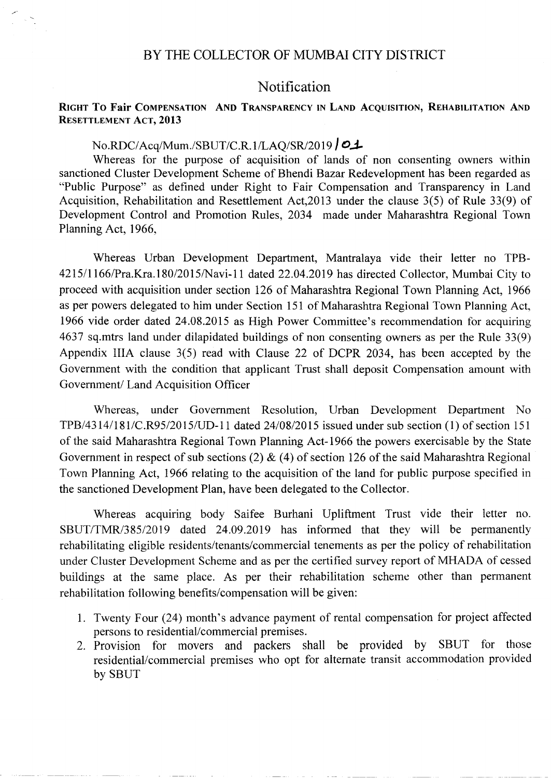#### BY THE COLLECTOR OF MUMBAI CITY DISTRICT

### Notification

#### RIGHT To Fair COMPENSATION AND TRANSPARENCY IN LAND ACQUISITION, REHABILITATION AND RESETTLEMENT ACT, 2013

# No.RDC/Acq/Mum./SBUT/C.R.1/LAQ/SR/2019 | **01**

Whereas for the purpose of acquisition of lands of non consenting owners within sanctioned Cluster Development Scheme of Bhendi Bazar Redevelopment has been regarded as "Public Purpose" as defined under Right to Fair Compensation and Transparency in Land Acquisition, Rehabilitation and Resettlement Act,2013 under the clause 3(5) of Rule 33(9) of Development Control and Promotion Rules, 2034 made under Maharashtra Regional Town Planning Act, 1966,

Whereas Urban Development Department, Mantralaya vide their letter no TPB-4215/1166/Pra.Kra.180/2015/Navi-11 dated 22.04.2019 has directed Collector, Mumbai City to proceed with acquisition under section 126 of Maharashtra Regional Town Planning Act, 1966 as per powers delegated to him under Section 151 of Maharashtra Regional Town Planning Act, 1966 vide order dated 24.08.2015 as High Power Committee's recommendation for acquiring 4637 sq.mtrs land under dilapidated buildings of non consenting owners as per the Rule 33(9) Appendix lIlA clause 3(5) read with Clause 22 of DCPR 2034, has been accepted by the Government with the condition that applicant Trust shall deposit Compensation amount with Government/ Land Acquisition Officer

Whereas, under Government Resolution, Urban Development Department No *TPB/431411811C.R95/20 15/UD-11* dated *24/0812015* issued under sub section (1) of section 151 of the said Maharashtra Regional Town Planning Act-1966 the powers exercisable by the State Government in respect of sub sections (2)  $\&$  (4) of section 126 of the said Maharashtra Regional Town Planning Act, 1966 relating to the acquisition of the land for public purpose specified in the sanctioned Development Plan, have been delegated to the Collector.

Whereas acquiring body Saifee Burhani Upliftment Trust vide their letter no. *SBUT/TMRl385/2019* dated 24.09.2019 has informed that they will be permanently rehabilitating eligible residents/tenants/commercial tenements as per the policy of rehabilitation under Cluster Development Scheme and as per the certified survey report of MHADA of cessed buildings at the same place. As per their rehabilitation scheme other than permanent rehabilitation following benefits/compensation will be given:

- 1. Twenty Four (24) month's advance payment of rental compensation for project affected persons to residential/commercial premises.
- 2. Provision for movers and packers shall be provided by SBUT for those residential/commercial premises who opt for alternate transit accommodation provided by SBUT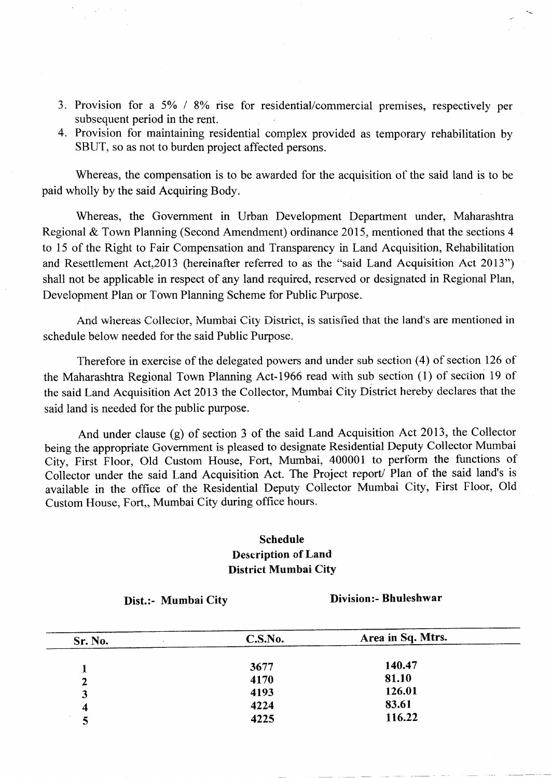- 3. Provision for a 5% / 8% rise for residential/commercial premises, respectively per subsequent period in the rent.
- 4. Provision for maintaining residential complex provided as temporary rehabilitation by SBUT, so as not to burden project affected persons.

Whereas, the compensation is to be awarded for the acquisition of the said land is to be paid wholly by the said Acquiring Body.

Whereas, the Government in Urban Development Department under, Maharashtra Regional & Town Planning (Second Amendment) ordinance 2015, mentioned that the sections 4 to 15 of the Right to Fair Compensation and Transparency in Land Acquisition, Rehabilitation and Resettlement Act,2013 (hereinafter referred to as the "said Land Acquisition Act 2013") shall not be applicable in respect of any land required, reserved or designated in Regional Plan, Development Plan or Town Planning Scheme for Public Purpose.

And whereas Collector, Mumbai City District, is satisfied that the land's are mentioned in schedule below needed for the said Public Purpose.

Therefore in exercise of the delegated powers and under sub section (4) of section 126 of the Maharashtra Regional Town Planning Act-1966 read with sub section (1) of section 19 of the said Land Acquisition Act 2013 the Collector, Mumbai City District hereby declares that the said land is needed for the public purpose.

And under clause (g) of section 3 of the said Land Acquisition Act 2013, the Collector being the appropriate Government is pleased to designate Residential Deputy Collector Mumbai City, First Floor, Old Custom House, Fort, Mumbai, 400001 to perform the functions of Collector under the said Land Acquisition Act. The Project report/ Plan of the said land's is available in the office of the Residential Deputy Collector Mumbai City, First Floor, Old Custom House, Fort,, Mumbai City during office hours.

## Schedule Description of Land District Mumbai City

Dist.:- Mumbai City

Division:- Bhuleshwar

| Sr. No.      | C.S.No. | Area in Sq. Mtrs. |
|--------------|---------|-------------------|
|              |         |                   |
|              | 3677    | 140.47            |
| $\mathbf{2}$ | 4170    | 81.10             |
| 3            | 4193    | 126.01            |
| 4            | 4224    | 83.61             |
|              | 4225    | 116.22            |